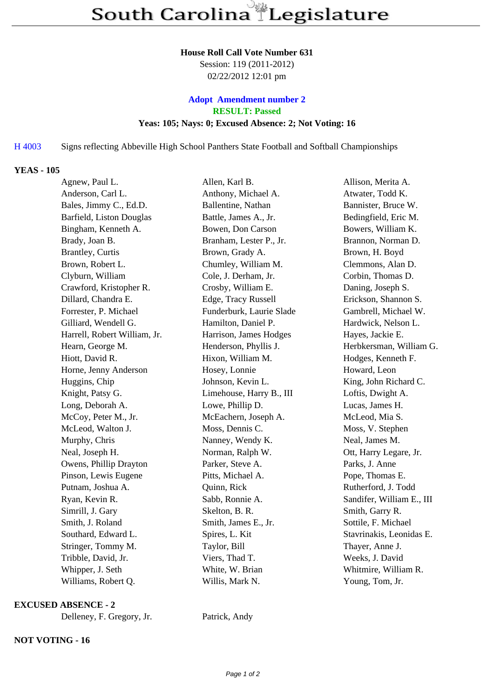#### **House Roll Call Vote Number 631**

Session: 119 (2011-2012) 02/22/2012 12:01 pm

# **Adopt Amendment number 2 RESULT: Passed Yeas: 105; Nays: 0; Excused Absence: 2; Not Voting: 16**

# H 4003 Signs reflecting Abbeville High S[chool Panthers State Football and](/amendments.php?KEY=22760) Softball Championships

## **YEAS - 105**

| Agnew, Paul L.               | Allen, Karl B.           | Allison, Merita A.        |
|------------------------------|--------------------------|---------------------------|
| Anderson, Carl L.            | Anthony, Michael A.      | Atwater, Todd K.          |
| Bales, Jimmy C., Ed.D.       | Ballentine, Nathan       | Bannister, Bruce W.       |
| Barfield, Liston Douglas     | Battle, James A., Jr.    | Bedingfield, Eric M.      |
| Bingham, Kenneth A.          | Bowen, Don Carson        | Bowers, William K.        |
| Brady, Joan B.               | Branham, Lester P., Jr.  | Brannon, Norman D.        |
| <b>Brantley</b> , Curtis     | Brown, Grady A.          | Brown, H. Boyd            |
| Brown, Robert L.             | Chumley, William M.      | Clemmons, Alan D.         |
| Clyburn, William             | Cole, J. Derham, Jr.     | Corbin, Thomas D.         |
| Crawford, Kristopher R.      | Crosby, William E.       | Daning, Joseph S.         |
| Dillard, Chandra E.          | Edge, Tracy Russell      | Erickson, Shannon S.      |
| Forrester, P. Michael        | Funderburk, Laurie Slade | Gambrell, Michael W.      |
| Gilliard, Wendell G.         | Hamilton, Daniel P.      | Hardwick, Nelson L.       |
| Harrell, Robert William, Jr. | Harrison, James Hodges   | Hayes, Jackie E.          |
| Hearn, George M.             | Henderson, Phyllis J.    | Herbkersman, William G.   |
| Hiott, David R.              | Hixon, William M.        | Hodges, Kenneth F.        |
| Horne, Jenny Anderson        | Hosey, Lonnie            | Howard, Leon              |
| Huggins, Chip                | Johnson, Kevin L.        | King, John Richard C.     |
| Knight, Patsy G.             | Limehouse, Harry B., III | Loftis, Dwight A.         |
| Long, Deborah A.             | Lowe, Phillip D.         | Lucas, James H.           |
| McCoy, Peter M., Jr.         | McEachern, Joseph A.     | McLeod, Mia S.            |
| McLeod, Walton J.            | Moss, Dennis C.          | Moss, V. Stephen          |
| Murphy, Chris                | Nanney, Wendy K.         | Neal, James M.            |
| Neal, Joseph H.              | Norman, Ralph W.         | Ott, Harry Legare, Jr.    |
| Owens, Phillip Drayton       | Parker, Steve A.         | Parks, J. Anne            |
| Pinson, Lewis Eugene         | Pitts, Michael A.        | Pope, Thomas E.           |
| Putnam, Joshua A.            | Quinn, Rick              | Rutherford, J. Todd       |
| Ryan, Kevin R.               | Sabb, Ronnie A.          | Sandifer, William E., III |
| Simrill, J. Gary             | Skelton, B. R.           | Smith, Garry R.           |
| Smith, J. Roland             | Smith, James E., Jr.     | Sottile, F. Michael       |
| Southard, Edward L.          | Spires, L. Kit           | Stavrinakis, Leonidas E.  |
| Stringer, Tommy M.           | Taylor, Bill             | Thayer, Anne J.           |
| Tribble, David, Jr.          | Viers, Thad T.           | Weeks, J. David           |
| Whipper, J. Seth             | White, W. Brian          | Whitmire, William R.      |
| Williams, Robert Q.          | Willis, Mark N.          | Young, Tom, Jr.           |

#### **EXCUSED ABSENCE - 2**

Delleney, F. Gregory, Jr. Patrick, Andy

## **NOT VOTING - 16**